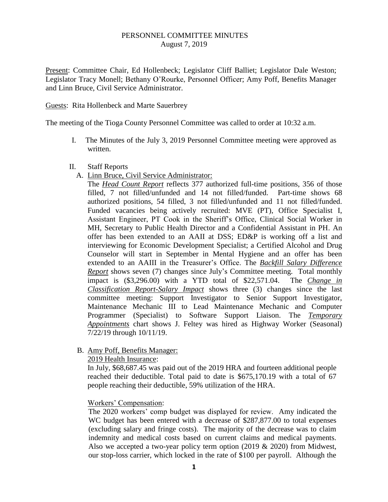## PERSONNEL COMMITTEE MINUTES August 7, 2019

Present: Committee Chair, Ed Hollenbeck; Legislator Cliff Balliet; Legislator Dale Weston; Legislator Tracy Monell; Bethany O'Rourke, Personnel Officer; Amy Poff, Benefits Manager and Linn Bruce, Civil Service Administrator.

## Guests: Rita Hollenbeck and Marte Sauerbrey

The meeting of the Tioga County Personnel Committee was called to order at 10:32 a.m.

- I. The Minutes of the July 3, 2019 Personnel Committee meeting were approved as written.
- II. Staff Reports
	- A. Linn Bruce, Civil Service Administrator:

The *Head Count Report* reflects 377 authorized full-time positions, 356 of those filled, 7 not filled/unfunded and 14 not filled/funded. Part-time shows 68 authorized positions, 54 filled, 3 not filled/unfunded and 11 not filled/funded. Funded vacancies being actively recruited: MVE (PT), Office Specialist I, Assistant Engineer, PT Cook in the Sheriff's Office, Clinical Social Worker in MH, Secretary to Public Health Director and a Confidential Assistant in PH. An offer has been extended to an AAII at DSS; ED&P is working off a list and interviewing for Economic Development Specialist; a Certified Alcohol and Drug Counselor will start in September in Mental Hygiene and an offer has been extended to an AAIII in the Treasurer's Office. The *Backfill Salary Difference Report* shows seven (7) changes since July's Committee meeting. Total monthly impact is (\$3,296.00) with a YTD total of \$22,571.04. The *Change in Classification Report-Salary Impact* shows three (3) changes since the last committee meeting: Support Investigator to Senior Support Investigator, Maintenance Mechanic III to Lead Maintenance Mechanic and Computer Programmer (Specialist) to Software Support Liaison. The *Temporary Appointments* chart shows J. Feltey was hired as Highway Worker (Seasonal) 7/22/19 through 10/11/19.

B. Amy Poff, Benefits Manager:

## 2019 Health Insurance:

In July, \$68,687.45 was paid out of the 2019 HRA and fourteen additional people reached their deductible. Total paid to date is \$675,170.19 with a total of 67 people reaching their deductible, 59% utilization of the HRA.

## Workers' Compensation:

The 2020 workers' comp budget was displayed for review. Amy indicated the WC budget has been entered with a decrease of \$287,877.00 to total expenses (excluding salary and fringe costs). The majority of the decrease was to claim indemnity and medical costs based on current claims and medical payments. Also we accepted a two-year policy term option (2019 & 2020) from Midwest, our stop-loss carrier, which locked in the rate of \$100 per payroll. Although the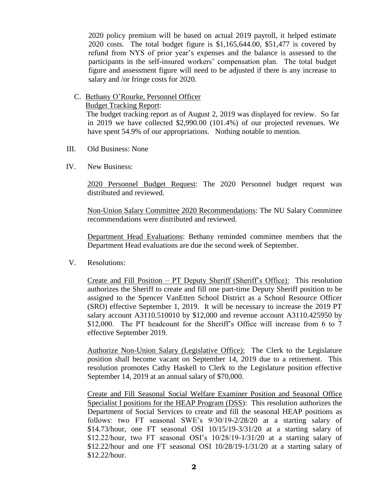2020 policy premium will be based on actual 2019 payroll, it helped estimate 2020 costs. The total budget figure is \$1,165,644.00, \$51,477 is covered by refund from NYS of prior year's expenses and the balance is assessed to the participants in the self-insured workers' compensation plan. The total budget figure and assessment figure will need to be adjusted if there is any increase to salary and /or fringe costs for 2020.

C. Bethany O'Rourke, Personnel Officer

Budget Tracking Report:

 The budget tracking report as of August 2, 2019 was displayed for review. So far in 2019 we have collected \$2,990.00 (101.4%) of our projected revenues. We have spent 54.9% of our appropriations. Nothing notable to mention.

- III. Old Business: None
- IV. New Business:

2020 Personnel Budget Request: The 2020 Personnel budget request was distributed and reviewed.

Non-Union Salary Committee 2020 Recommendations: The NU Salary Committee recommendations were distributed and reviewed.

Department Head Evaluations: Bethany reminded committee members that the Department Head evaluations are due the second week of September.

V. Resolutions:

Create and Fill Position – PT Deputy Sheriff (Sheriff's Office): This resolution authorizes the Sheriff to create and fill one part-time Deputy Sheriff position to be assigned to the Spencer VanEtten School District as a School Resource Officer (SRO) effective September 1, 2019. It will be necessary to increase the 2019 PT salary account A3110.510010 by \$12,000 and revenue account A3110.425950 by \$12,000. The PT headcount for the Sheriff's Office will increase from 6 to 7 effective September 2019.

Authorize Non-Union Salary (Legislative Office): The Clerk to the Legislature position shall become vacant on September 14, 2019 due to a retirement. This resolution promotes Cathy Haskell to Clerk to the Legislature position effective September 14, 2019 at an annual salary of \$70,000.

Create and Fill Seasonal Social Welfare Examiner Position and Seasonal Office Specialist I positions for the HEAP Program (DSS): This resolution authorizes the Department of Social Services to create and fill the seasonal HEAP positions as follows: two FT seasonal SWE's 9/30/19-2/28/20 at a starting salary of \$14.73/hour, one FT seasonal OSI 10/15/19-3/31/20 at a starting salary of \$12.22/hour, two FT seasonal OSI's 10/28/19-1/31/20 at a starting salary of \$12.22/hour and one FT seasonal OSI 10/28/19-1/31/20 at a starting salary of \$12.22/hour.